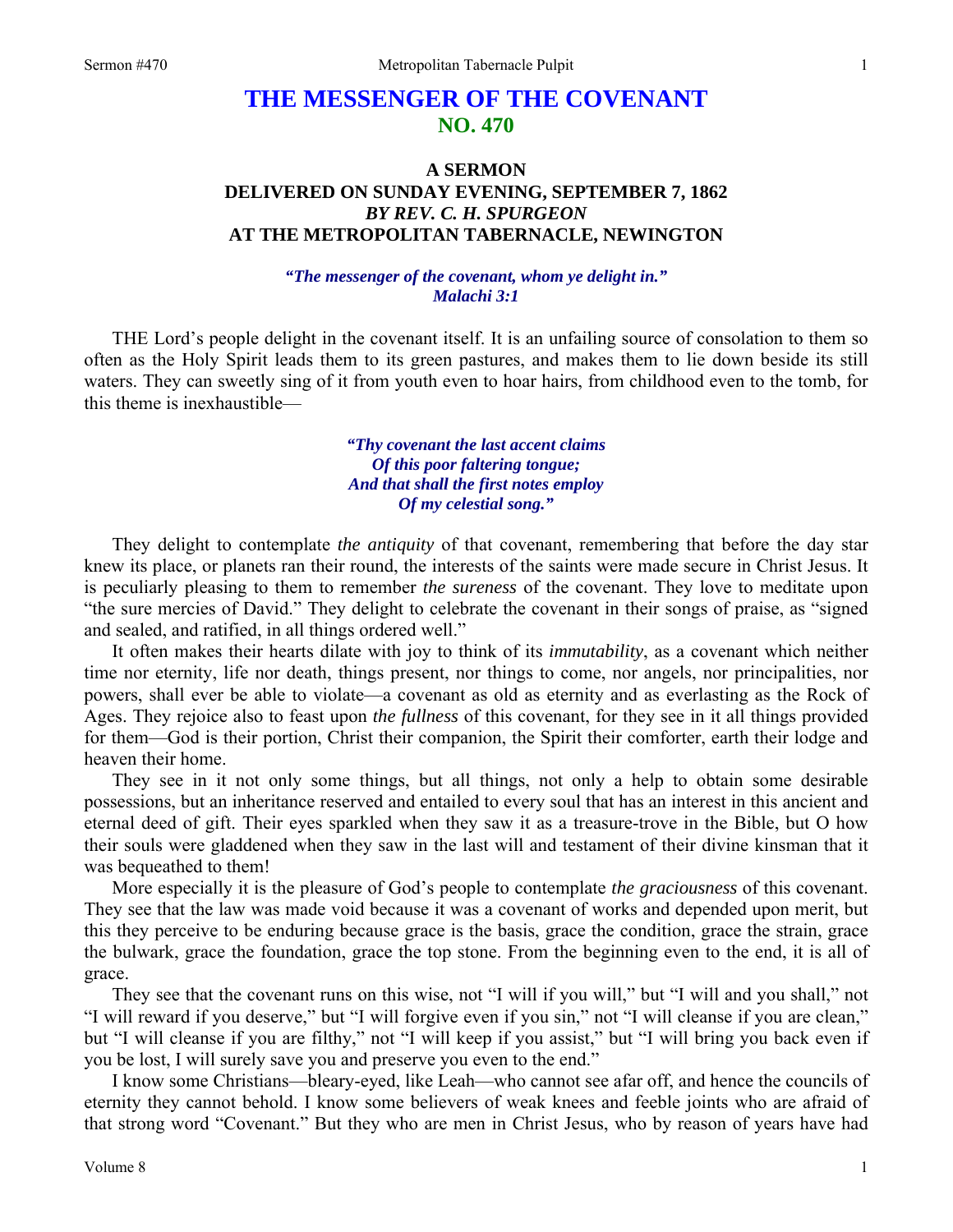# **THE MESSENGER OF THE COVENANT NO. 470**

## **A SERMON DELIVERED ON SUNDAY EVENING, SEPTEMBER 7, 1862**  *BY REV. C. H. SPURGEON*  **AT THE METROPOLITAN TABERNACLE, NEWINGTON**

## *"The messenger of the covenant, whom ye delight in." Malachi 3:1*

THE Lord's people delight in the covenant itself. It is an unfailing source of consolation to them so often as the Holy Spirit leads them to its green pastures, and makes them to lie down beside its still waters. They can sweetly sing of it from youth even to hoar hairs, from childhood even to the tomb, for this theme is inexhaustible—

> *"Thy covenant the last accent claims Of this poor faltering tongue; And that shall the first notes employ Of my celestial song."*

They delight to contemplate *the antiquity* of that covenant, remembering that before the day star knew its place, or planets ran their round, the interests of the saints were made secure in Christ Jesus. It is peculiarly pleasing to them to remember *the sureness* of the covenant. They love to meditate upon "the sure mercies of David." They delight to celebrate the covenant in their songs of praise, as "signed and sealed, and ratified, in all things ordered well."

It often makes their hearts dilate with joy to think of its *immutability*, as a covenant which neither time nor eternity, life nor death, things present, nor things to come, nor angels, nor principalities, nor powers, shall ever be able to violate—a covenant as old as eternity and as everlasting as the Rock of Ages. They rejoice also to feast upon *the fullness* of this covenant, for they see in it all things provided for them—God is their portion, Christ their companion, the Spirit their comforter, earth their lodge and heaven their home.

They see in it not only some things, but all things, not only a help to obtain some desirable possessions, but an inheritance reserved and entailed to every soul that has an interest in this ancient and eternal deed of gift. Their eyes sparkled when they saw it as a treasure-trove in the Bible, but O how their souls were gladdened when they saw in the last will and testament of their divine kinsman that it was bequeathed to them!

More especially it is the pleasure of God's people to contemplate *the graciousness* of this covenant. They see that the law was made void because it was a covenant of works and depended upon merit, but this they perceive to be enduring because grace is the basis, grace the condition, grace the strain, grace the bulwark, grace the foundation, grace the top stone. From the beginning even to the end, it is all of grace.

They see that the covenant runs on this wise, not "I will if you will," but "I will and you shall," not "I will reward if you deserve," but "I will forgive even if you sin," not "I will cleanse if you are clean," but "I will cleanse if you are filthy," not "I will keep if you assist," but "I will bring you back even if you be lost, I will surely save you and preserve you even to the end."

I know some Christians—bleary-eyed, like Leah—who cannot see afar off, and hence the councils of eternity they cannot behold. I know some believers of weak knees and feeble joints who are afraid of that strong word "Covenant." But they who are men in Christ Jesus, who by reason of years have had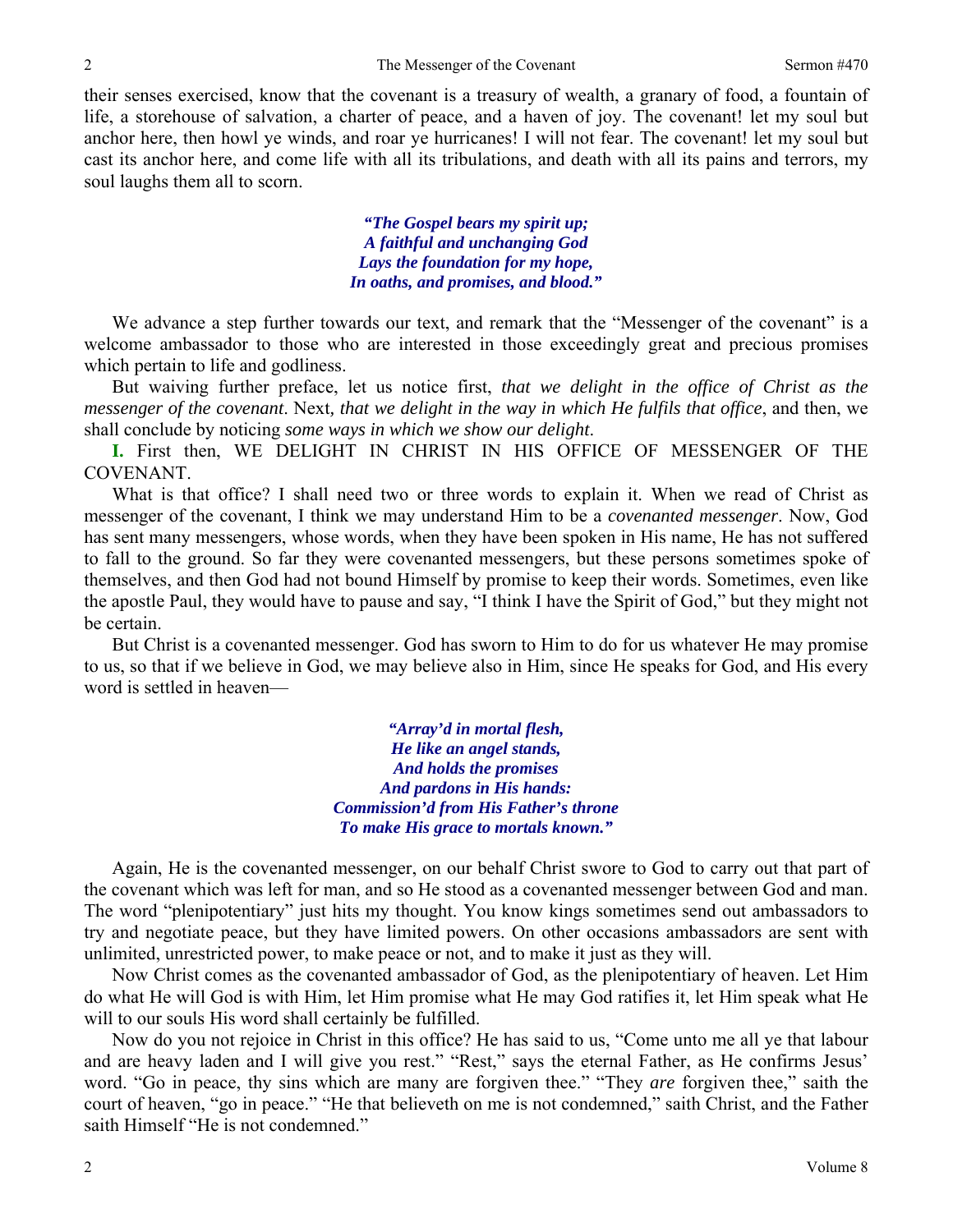their senses exercised, know that the covenant is a treasury of wealth, a granary of food, a fountain of life, a storehouse of salvation, a charter of peace, and a haven of joy. The covenant! let my soul but anchor here, then howl ye winds, and roar ye hurricanes! I will not fear. The covenant! let my soul but cast its anchor here, and come life with all its tribulations, and death with all its pains and terrors, my soul laughs them all to scorn.

> *"The Gospel bears my spirit up; A faithful and unchanging God Lays the foundation for my hope, In oaths, and promises, and blood."*

We advance a step further towards our text, and remark that the "Messenger of the covenant" is a welcome ambassador to those who are interested in those exceedingly great and precious promises which pertain to life and godliness.

But waiving further preface, let us notice first, *that we delight in the office of Christ as the messenger of the covenant*. Next*, that we delight in the way in which He fulfils that office*, and then, we shall conclude by noticing *some ways in which we show our delight*.

**I.** First then, WE DELIGHT IN CHRIST IN HIS OFFICE OF MESSENGER OF THE COVENANT.

What is that office? I shall need two or three words to explain it. When we read of Christ as messenger of the covenant, I think we may understand Him to be a *covenanted messenger*. Now, God has sent many messengers, whose words, when they have been spoken in His name, He has not suffered to fall to the ground. So far they were covenanted messengers, but these persons sometimes spoke of themselves, and then God had not bound Himself by promise to keep their words. Sometimes, even like the apostle Paul, they would have to pause and say, "I think I have the Spirit of God," but they might not be certain.

But Christ is a covenanted messenger. God has sworn to Him to do for us whatever He may promise to us, so that if we believe in God, we may believe also in Him, since He speaks for God, and His every word is settled in heaven—

> *"Array'd in mortal flesh, He like an angel stands, And holds the promises And pardons in His hands: Commission'd from His Father's throne To make His grace to mortals known."*

Again, He is the covenanted messenger, on our behalf Christ swore to God to carry out that part of the covenant which was left for man, and so He stood as a covenanted messenger between God and man. The word "plenipotentiary" just hits my thought. You know kings sometimes send out ambassadors to try and negotiate peace, but they have limited powers. On other occasions ambassadors are sent with unlimited, unrestricted power, to make peace or not, and to make it just as they will.

Now Christ comes as the covenanted ambassador of God, as the plenipotentiary of heaven. Let Him do what He will God is with Him, let Him promise what He may God ratifies it, let Him speak what He will to our souls His word shall certainly be fulfilled.

Now do you not rejoice in Christ in this office? He has said to us, "Come unto me all ye that labour and are heavy laden and I will give you rest." "Rest," says the eternal Father, as He confirms Jesus' word. "Go in peace, thy sins which are many are forgiven thee." "They *are* forgiven thee," saith the court of heaven, "go in peace." "He that believeth on me is not condemned," saith Christ, and the Father saith Himself "He is not condemned."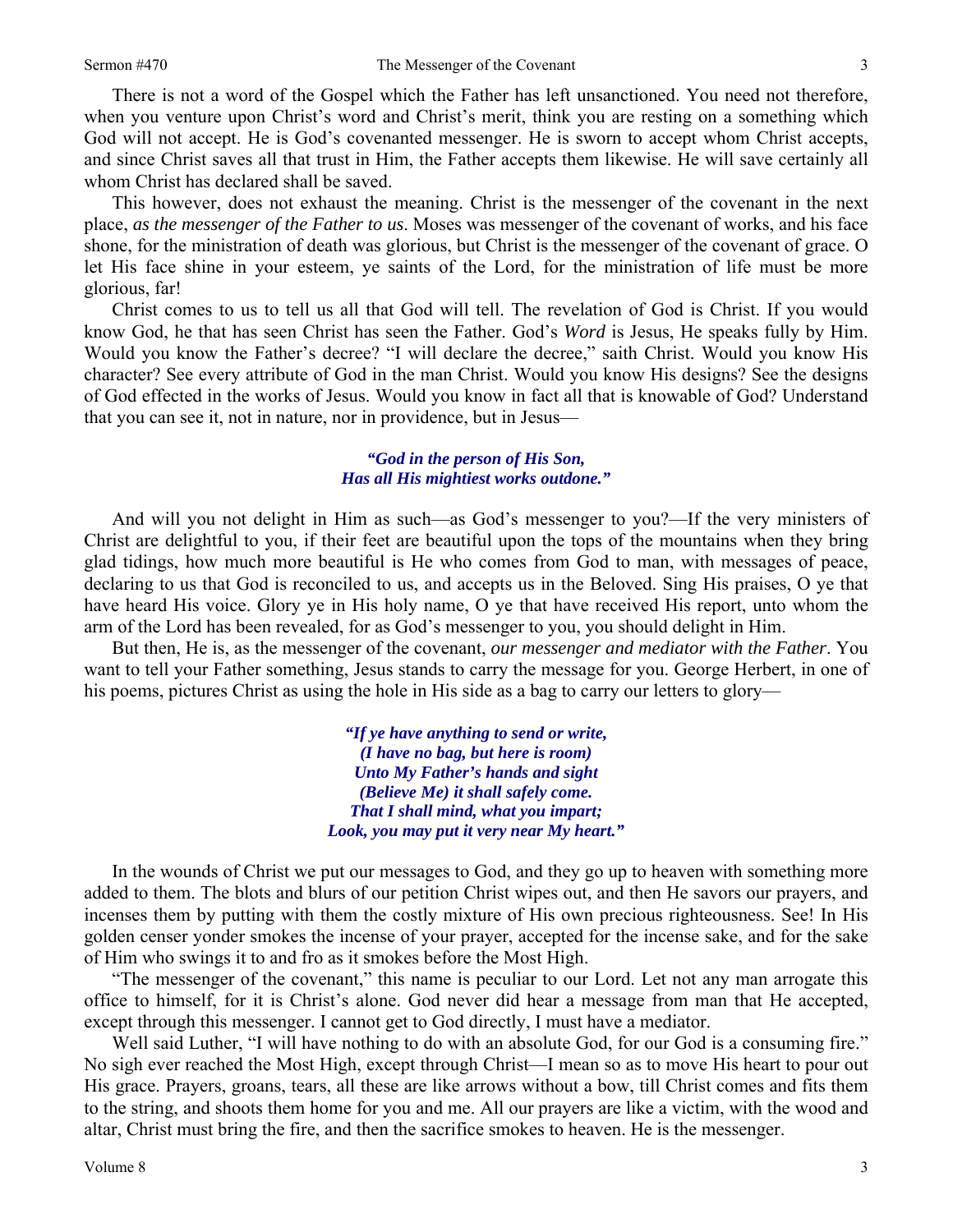There is not a word of the Gospel which the Father has left unsanctioned. You need not therefore, when you venture upon Christ's word and Christ's merit, think you are resting on a something which God will not accept. He is God's covenanted messenger. He is sworn to accept whom Christ accepts, and since Christ saves all that trust in Him, the Father accepts them likewise. He will save certainly all whom Christ has declared shall be saved.

This however, does not exhaust the meaning. Christ is the messenger of the covenant in the next place, *as the messenger of the Father to us*. Moses was messenger of the covenant of works, and his face shone, for the ministration of death was glorious, but Christ is the messenger of the covenant of grace. O let His face shine in your esteem, ye saints of the Lord, for the ministration of life must be more glorious, far!

Christ comes to us to tell us all that God will tell. The revelation of God is Christ. If you would know God, he that has seen Christ has seen the Father. God's *Word* is Jesus, He speaks fully by Him. Would you know the Father's decree? "I will declare the decree," saith Christ. Would you know His character? See every attribute of God in the man Christ. Would you know His designs? See the designs of God effected in the works of Jesus. Would you know in fact all that is knowable of God? Understand that you can see it, not in nature, nor in providence, but in Jesus—

> *"God in the person of His Son, Has all His mightiest works outdone."*

And will you not delight in Him as such—as God's messenger to you?—If the very ministers of Christ are delightful to you, if their feet are beautiful upon the tops of the mountains when they bring glad tidings, how much more beautiful is He who comes from God to man, with messages of peace, declaring to us that God is reconciled to us, and accepts us in the Beloved. Sing His praises, O ye that have heard His voice. Glory ye in His holy name, O ye that have received His report, unto whom the arm of the Lord has been revealed, for as God's messenger to you, you should delight in Him.

But then, He is, as the messenger of the covenant, *our messenger and mediator with the Father*. You want to tell your Father something, Jesus stands to carry the message for you. George Herbert, in one of his poems, pictures Christ as using the hole in His side as a bag to carry our letters to glory—

> *"If ye have anything to send or write, (I have no bag, but here is room) Unto My Father's hands and sight (Believe Me) it shall safely come. That I shall mind, what you impart; Look, you may put it very near My heart."*

In the wounds of Christ we put our messages to God, and they go up to heaven with something more added to them. The blots and blurs of our petition Christ wipes out, and then He savors our prayers, and incenses them by putting with them the costly mixture of His own precious righteousness. See! In His golden censer yonder smokes the incense of your prayer, accepted for the incense sake, and for the sake of Him who swings it to and fro as it smokes before the Most High.

"The messenger of the covenant," this name is peculiar to our Lord. Let not any man arrogate this office to himself, for it is Christ's alone. God never did hear a message from man that He accepted, except through this messenger. I cannot get to God directly, I must have a mediator.

Well said Luther, "I will have nothing to do with an absolute God, for our God is a consuming fire." No sigh ever reached the Most High, except through Christ—I mean so as to move His heart to pour out His grace. Prayers, groans, tears, all these are like arrows without a bow, till Christ comes and fits them to the string, and shoots them home for you and me. All our prayers are like a victim, with the wood and altar, Christ must bring the fire, and then the sacrifice smokes to heaven. He is the messenger.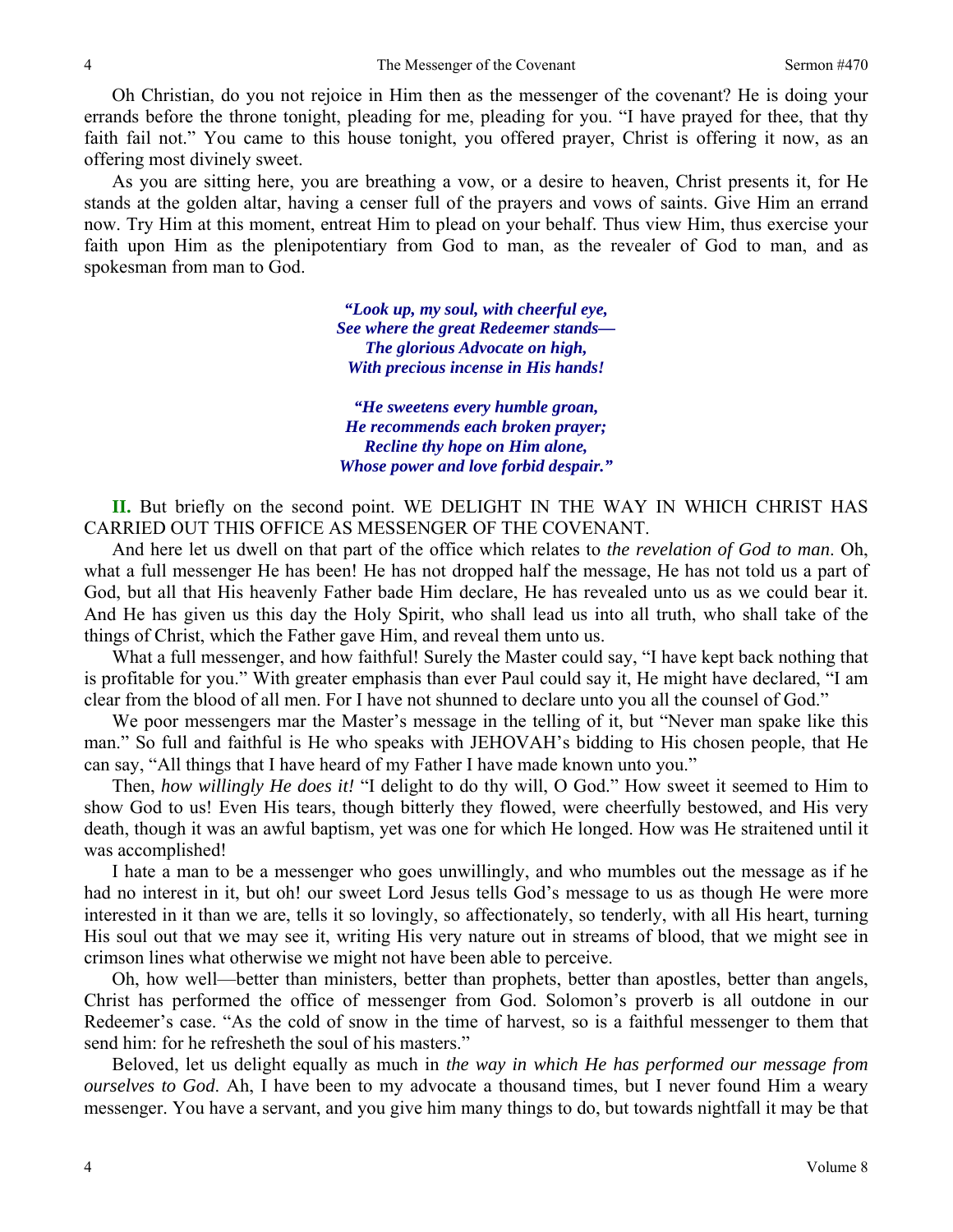Oh Christian, do you not rejoice in Him then as the messenger of the covenant? He is doing your errands before the throne tonight, pleading for me, pleading for you. "I have prayed for thee, that thy faith fail not." You came to this house tonight, you offered prayer, Christ is offering it now, as an offering most divinely sweet.

As you are sitting here, you are breathing a vow, or a desire to heaven, Christ presents it, for He stands at the golden altar, having a censer full of the prayers and vows of saints. Give Him an errand now. Try Him at this moment, entreat Him to plead on your behalf. Thus view Him, thus exercise your faith upon Him as the plenipotentiary from God to man, as the revealer of God to man, and as spokesman from man to God.

> *"Look up, my soul, with cheerful eye, See where the great Redeemer stands— The glorious Advocate on high, With precious incense in His hands!*

*"He sweetens every humble groan, He recommends each broken prayer; Recline thy hope on Him alone, Whose power and love forbid despair."* 

**II.** But briefly on the second point. WE DELIGHT IN THE WAY IN WHICH CHRIST HAS CARRIED OUT THIS OFFICE AS MESSENGER OF THE COVENANT.

And here let us dwell on that part of the office which relates to *the revelation of God to man*. Oh, what a full messenger He has been! He has not dropped half the message, He has not told us a part of God, but all that His heavenly Father bade Him declare, He has revealed unto us as we could bear it. And He has given us this day the Holy Spirit, who shall lead us into all truth, who shall take of the things of Christ, which the Father gave Him, and reveal them unto us.

What a full messenger, and how faithful! Surely the Master could say, "I have kept back nothing that is profitable for you." With greater emphasis than ever Paul could say it, He might have declared, "I am clear from the blood of all men. For I have not shunned to declare unto you all the counsel of God."

We poor messengers mar the Master's message in the telling of it, but "Never man spake like this man." So full and faithful is He who speaks with JEHOVAH's bidding to His chosen people, that He can say, "All things that I have heard of my Father I have made known unto you."

Then, *how willingly He does it!* "I delight to do thy will, O God." How sweet it seemed to Him to show God to us! Even His tears, though bitterly they flowed, were cheerfully bestowed, and His very death, though it was an awful baptism, yet was one for which He longed. How was He straitened until it was accomplished!

I hate a man to be a messenger who goes unwillingly, and who mumbles out the message as if he had no interest in it, but oh! our sweet Lord Jesus tells God's message to us as though He were more interested in it than we are, tells it so lovingly, so affectionately, so tenderly, with all His heart, turning His soul out that we may see it, writing His very nature out in streams of blood, that we might see in crimson lines what otherwise we might not have been able to perceive.

Oh, how well—better than ministers, better than prophets, better than apostles, better than angels, Christ has performed the office of messenger from God. Solomon's proverb is all outdone in our Redeemer's case. "As the cold of snow in the time of harvest, so is a faithful messenger to them that send him: for he refresheth the soul of his masters."

Beloved, let us delight equally as much in *the way in which He has performed our message from ourselves to God*. Ah, I have been to my advocate a thousand times, but I never found Him a weary messenger. You have a servant, and you give him many things to do, but towards nightfall it may be that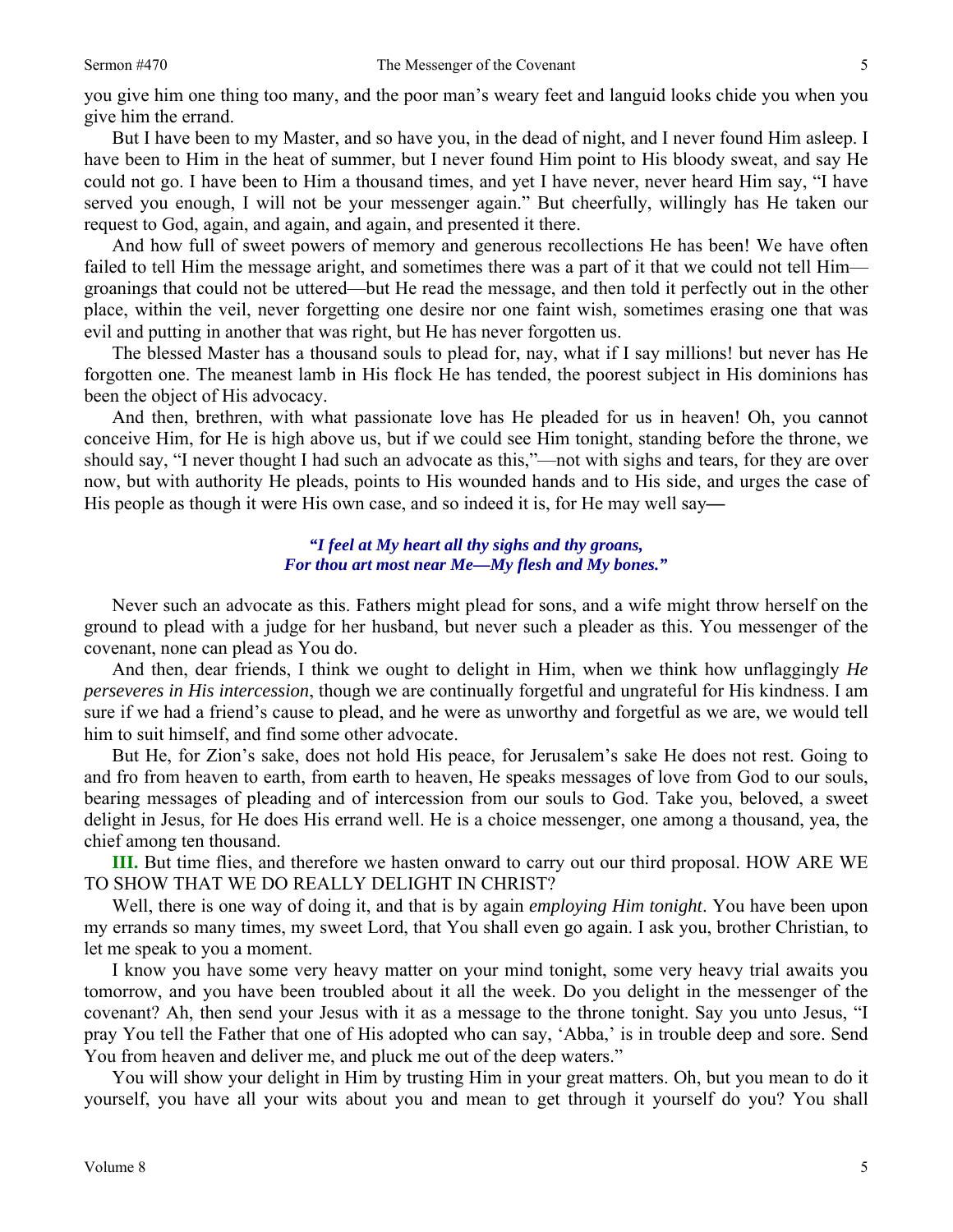you give him one thing too many, and the poor man's weary feet and languid looks chide you when you give him the errand.

But I have been to my Master, and so have you, in the dead of night, and I never found Him asleep. I have been to Him in the heat of summer, but I never found Him point to His bloody sweat, and say He could not go. I have been to Him a thousand times, and yet I have never, never heard Him say, "I have served you enough, I will not be your messenger again." But cheerfully, willingly has He taken our request to God, again, and again, and again, and presented it there.

And how full of sweet powers of memory and generous recollections He has been! We have often failed to tell Him the message aright, and sometimes there was a part of it that we could not tell Him groanings that could not be uttered—but He read the message, and then told it perfectly out in the other place, within the veil, never forgetting one desire nor one faint wish, sometimes erasing one that was evil and putting in another that was right, but He has never forgotten us.

The blessed Master has a thousand souls to plead for, nay, what if I say millions! but never has He forgotten one. The meanest lamb in His flock He has tended, the poorest subject in His dominions has been the object of His advocacy.

And then, brethren, with what passionate love has He pleaded for us in heaven! Oh, you cannot conceive Him, for He is high above us, but if we could see Him tonight, standing before the throne, we should say, "I never thought I had such an advocate as this,"—not with sighs and tears, for they are over now, but with authority He pleads, points to His wounded hands and to His side, and urges the case of His people as though it were His own case, and so indeed it is, for He may well say*—* 

#### *"I feel at My heart all thy sighs and thy groans, For thou art most near Me—My flesh and My bones."*

Never such an advocate as this. Fathers might plead for sons, and a wife might throw herself on the ground to plead with a judge for her husband, but never such a pleader as this. You messenger of the covenant, none can plead as You do.

And then, dear friends, I think we ought to delight in Him, when we think how unflaggingly *He perseveres in His intercession*, though we are continually forgetful and ungrateful for His kindness. I am sure if we had a friend's cause to plead, and he were as unworthy and forgetful as we are, we would tell him to suit himself, and find some other advocate.

But He, for Zion's sake, does not hold His peace, for Jerusalem's sake He does not rest. Going to and fro from heaven to earth, from earth to heaven, He speaks messages of love from God to our souls, bearing messages of pleading and of intercession from our souls to God. Take you, beloved, a sweet delight in Jesus, for He does His errand well. He is a choice messenger, one among a thousand, yea, the chief among ten thousand.

**III.** But time flies, and therefore we hasten onward to carry out our third proposal. HOW ARE WE TO SHOW THAT WE DO REALLY DELIGHT IN CHRIST?

Well, there is one way of doing it, and that is by again *employing Him tonight*. You have been upon my errands so many times, my sweet Lord, that You shall even go again. I ask you, brother Christian, to let me speak to you a moment.

I know you have some very heavy matter on your mind tonight, some very heavy trial awaits you tomorrow, and you have been troubled about it all the week. Do you delight in the messenger of the covenant? Ah, then send your Jesus with it as a message to the throne tonight. Say you unto Jesus, "I pray You tell the Father that one of His adopted who can say, 'Abba,' is in trouble deep and sore. Send You from heaven and deliver me, and pluck me out of the deep waters."

You will show your delight in Him by trusting Him in your great matters. Oh, but you mean to do it yourself, you have all your wits about you and mean to get through it yourself do you? You shall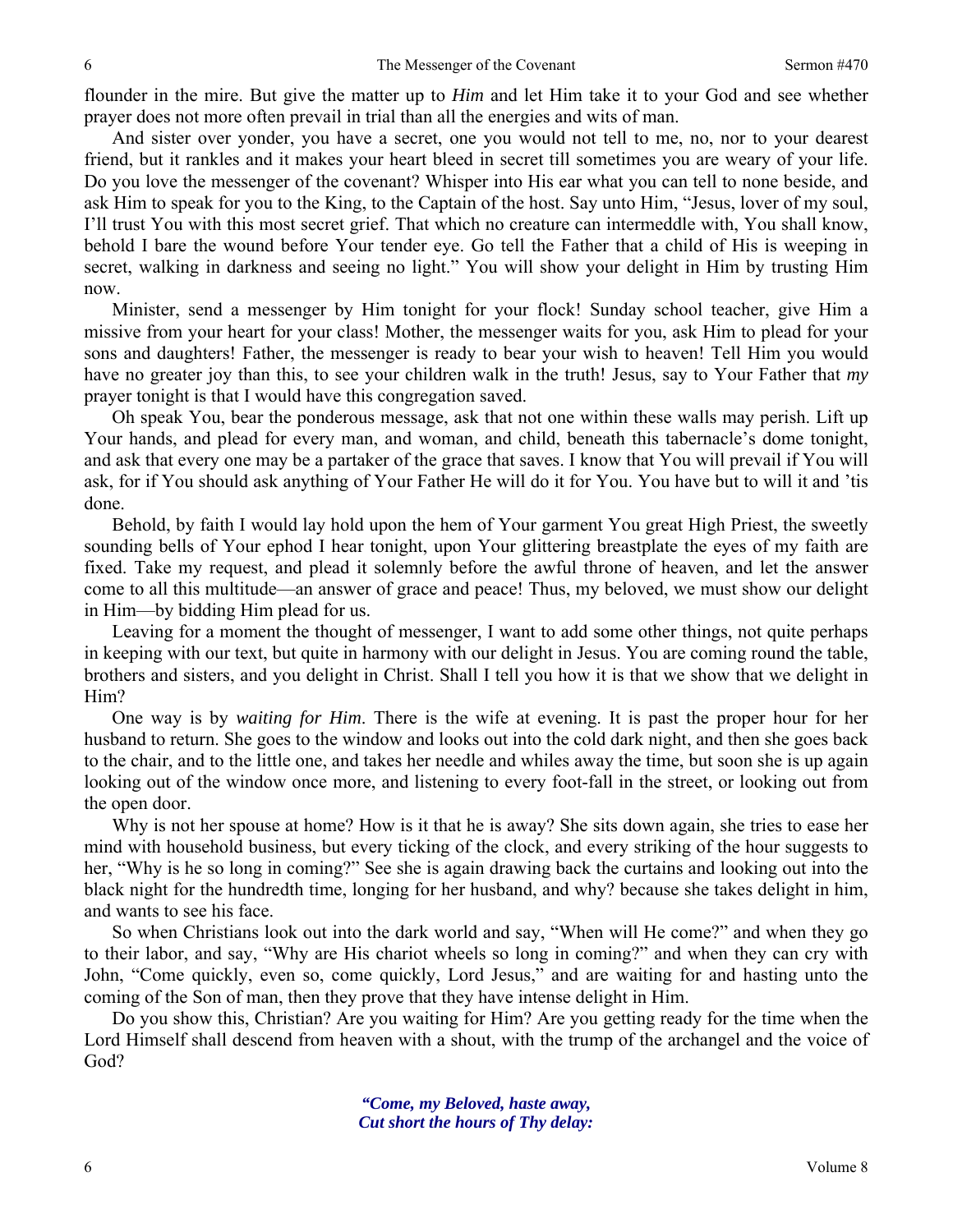flounder in the mire. But give the matter up to *Him* and let Him take it to your God and see whether prayer does not more often prevail in trial than all the energies and wits of man.

And sister over yonder, you have a secret, one you would not tell to me, no, nor to your dearest friend, but it rankles and it makes your heart bleed in secret till sometimes you are weary of your life. Do you love the messenger of the covenant? Whisper into His ear what you can tell to none beside, and ask Him to speak for you to the King, to the Captain of the host. Say unto Him, "Jesus, lover of my soul, I'll trust You with this most secret grief. That which no creature can intermeddle with, You shall know, behold I bare the wound before Your tender eye. Go tell the Father that a child of His is weeping in secret, walking in darkness and seeing no light." You will show your delight in Him by trusting Him now.

Minister, send a messenger by Him tonight for your flock! Sunday school teacher, give Him a missive from your heart for your class! Mother, the messenger waits for you, ask Him to plead for your sons and daughters! Father, the messenger is ready to bear your wish to heaven! Tell Him you would have no greater joy than this, to see your children walk in the truth! Jesus, say to Your Father that *my*  prayer tonight is that I would have this congregation saved.

Oh speak You, bear the ponderous message, ask that not one within these walls may perish. Lift up Your hands, and plead for every man, and woman, and child, beneath this tabernacle's dome tonight, and ask that every one may be a partaker of the grace that saves. I know that You will prevail if You will ask, for if You should ask anything of Your Father He will do it for You. You have but to will it and 'tis done.

Behold, by faith I would lay hold upon the hem of Your garment You great High Priest, the sweetly sounding bells of Your ephod I hear tonight, upon Your glittering breastplate the eyes of my faith are fixed. Take my request, and plead it solemnly before the awful throne of heaven, and let the answer come to all this multitude—an answer of grace and peace! Thus, my beloved, we must show our delight in Him—by bidding Him plead for us.

Leaving for a moment the thought of messenger, I want to add some other things, not quite perhaps in keeping with our text, but quite in harmony with our delight in Jesus. You are coming round the table, brothers and sisters, and you delight in Christ. Shall I tell you how it is that we show that we delight in Him?

One way is by *waiting for Him*. There is the wife at evening. It is past the proper hour for her husband to return. She goes to the window and looks out into the cold dark night, and then she goes back to the chair, and to the little one, and takes her needle and whiles away the time, but soon she is up again looking out of the window once more, and listening to every foot-fall in the street, or looking out from the open door.

Why is not her spouse at home? How is it that he is away? She sits down again, she tries to ease her mind with household business, but every ticking of the clock, and every striking of the hour suggests to her, "Why is he so long in coming?" See she is again drawing back the curtains and looking out into the black night for the hundredth time, longing for her husband, and why? because she takes delight in him, and wants to see his face.

So when Christians look out into the dark world and say, "When will He come?" and when they go to their labor, and say, "Why are His chariot wheels so long in coming?" and when they can cry with John, "Come quickly, even so, come quickly, Lord Jesus," and are waiting for and hasting unto the coming of the Son of man, then they prove that they have intense delight in Him.

Do you show this, Christian? Are you waiting for Him? Are you getting ready for the time when the Lord Himself shall descend from heaven with a shout, with the trump of the archangel and the voice of God?

> *"Come, my Beloved, haste away, Cut short the hours of Thy delay:*

6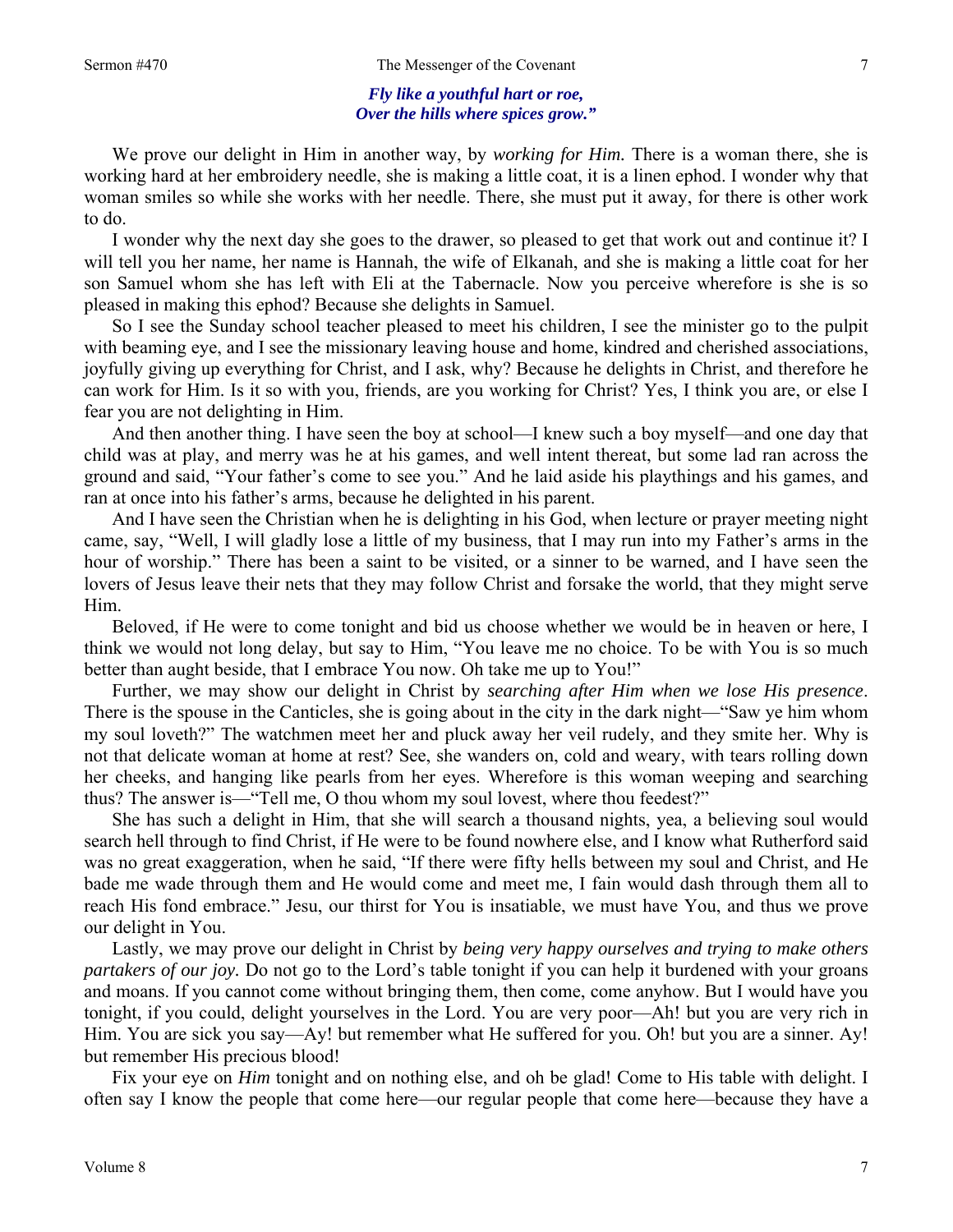#### 7

#### *Fly like a youthful hart or roe, Over the hills where spices grow."*

We prove our delight in Him in another way, by *working for Him.* There is a woman there, she is working hard at her embroidery needle, she is making a little coat, it is a linen ephod. I wonder why that woman smiles so while she works with her needle. There, she must put it away, for there is other work to do.

I wonder why the next day she goes to the drawer, so pleased to get that work out and continue it? I will tell you her name, her name is Hannah, the wife of Elkanah, and she is making a little coat for her son Samuel whom she has left with Eli at the Tabernacle. Now you perceive wherefore is she is so pleased in making this ephod? Because she delights in Samuel.

So I see the Sunday school teacher pleased to meet his children, I see the minister go to the pulpit with beaming eye, and I see the missionary leaving house and home, kindred and cherished associations, joyfully giving up everything for Christ, and I ask, why? Because he delights in Christ, and therefore he can work for Him. Is it so with you, friends, are you working for Christ? Yes, I think you are, or else I fear you are not delighting in Him.

And then another thing. I have seen the boy at school—I knew such a boy myself—and one day that child was at play, and merry was he at his games, and well intent thereat, but some lad ran across the ground and said, "Your father's come to see you." And he laid aside his playthings and his games, and ran at once into his father's arms, because he delighted in his parent.

And I have seen the Christian when he is delighting in his God, when lecture or prayer meeting night came, say, "Well, I will gladly lose a little of my business, that I may run into my Father's arms in the hour of worship." There has been a saint to be visited, or a sinner to be warned, and I have seen the lovers of Jesus leave their nets that they may follow Christ and forsake the world, that they might serve Him.

Beloved, if He were to come tonight and bid us choose whether we would be in heaven or here, I think we would not long delay, but say to Him, "You leave me no choice. To be with You is so much better than aught beside, that I embrace You now. Oh take me up to You!"

Further, we may show our delight in Christ by *searching after Him when we lose His presence*. There is the spouse in the Canticles, she is going about in the city in the dark night—"Saw ye him whom my soul loveth?" The watchmen meet her and pluck away her veil rudely, and they smite her. Why is not that delicate woman at home at rest? See, she wanders on, cold and weary, with tears rolling down her cheeks, and hanging like pearls from her eyes. Wherefore is this woman weeping and searching thus? The answer is—"Tell me, O thou whom my soul lovest, where thou feedest?"

She has such a delight in Him, that she will search a thousand nights, yea, a believing soul would search hell through to find Christ, if He were to be found nowhere else, and I know what Rutherford said was no great exaggeration, when he said, "If there were fifty hells between my soul and Christ, and He bade me wade through them and He would come and meet me, I fain would dash through them all to reach His fond embrace." Jesu, our thirst for You is insatiable, we must have You, and thus we prove our delight in You.

Lastly, we may prove our delight in Christ by *being very happy ourselves and trying to make others partakers of our joy.* Do not go to the Lord's table tonight if you can help it burdened with your groans and moans. If you cannot come without bringing them, then come, come anyhow. But I would have you tonight, if you could, delight yourselves in the Lord. You are very poor—Ah! but you are very rich in Him. You are sick you say—Ay! but remember what He suffered for you. Oh! but you are a sinner. Ay! but remember His precious blood!

Fix your eye on *Him* tonight and on nothing else, and oh be glad! Come to His table with delight. I often say I know the people that come here—our regular people that come here—because they have a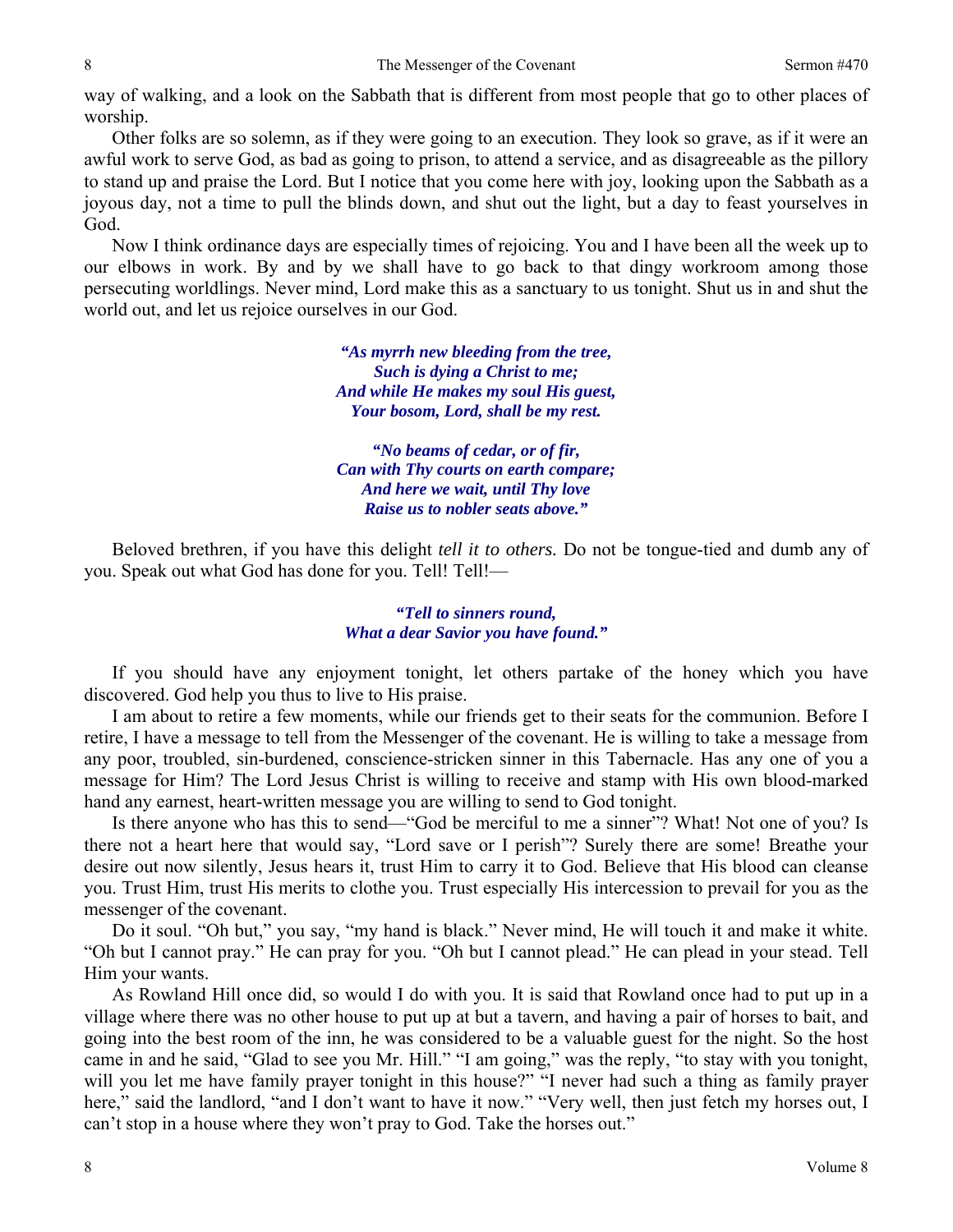way of walking, and a look on the Sabbath that is different from most people that go to other places of worship.

Other folks are so solemn, as if they were going to an execution. They look so grave, as if it were an awful work to serve God, as bad as going to prison, to attend a service, and as disagreeable as the pillory to stand up and praise the Lord. But I notice that you come here with joy, looking upon the Sabbath as a joyous day, not a time to pull the blinds down, and shut out the light, but a day to feast yourselves in God.

Now I think ordinance days are especially times of rejoicing. You and I have been all the week up to our elbows in work. By and by we shall have to go back to that dingy workroom among those persecuting worldlings. Never mind, Lord make this as a sanctuary to us tonight. Shut us in and shut the world out, and let us rejoice ourselves in our God.

> *"As myrrh new bleeding from the tree, Such is dying a Christ to me; And while He makes my soul His guest, Your bosom, Lord, shall be my rest.*

> *"No beams of cedar, or of fir, Can with Thy courts on earth compare; And here we wait, until Thy love Raise us to nobler seats above."*

Beloved brethren, if you have this delight *tell it to others.* Do not be tongue-tied and dumb any of you. Speak out what God has done for you. Tell! Tell!—

## *"Tell to sinners round, What a dear Savior you have found."*

If you should have any enjoyment tonight, let others partake of the honey which you have discovered. God help you thus to live to His praise.

I am about to retire a few moments, while our friends get to their seats for the communion. Before I retire, I have a message to tell from the Messenger of the covenant. He is willing to take a message from any poor, troubled, sin-burdened, conscience-stricken sinner in this Tabernacle. Has any one of you a message for Him? The Lord Jesus Christ is willing to receive and stamp with His own blood-marked hand any earnest, heart-written message you are willing to send to God tonight.

Is there anyone who has this to send—"God be merciful to me a sinner"? What! Not one of you? Is there not a heart here that would say, "Lord save or I perish"? Surely there are some! Breathe your desire out now silently, Jesus hears it, trust Him to carry it to God. Believe that His blood can cleanse you. Trust Him, trust His merits to clothe you. Trust especially His intercession to prevail for you as the messenger of the covenant.

Do it soul. "Oh but," you say, "my hand is black." Never mind, He will touch it and make it white. "Oh but I cannot pray." He can pray for you. "Oh but I cannot plead." He can plead in your stead. Tell Him your wants.

As Rowland Hill once did, so would I do with you. It is said that Rowland once had to put up in a village where there was no other house to put up at but a tavern, and having a pair of horses to bait, and going into the best room of the inn, he was considered to be a valuable guest for the night. So the host came in and he said, "Glad to see you Mr. Hill." "I am going," was the reply, "to stay with you tonight, will you let me have family prayer tonight in this house?" "I never had such a thing as family prayer here," said the landlord, "and I don't want to have it now." "Very well, then just fetch my horses out, I can't stop in a house where they won't pray to God. Take the horses out."

8